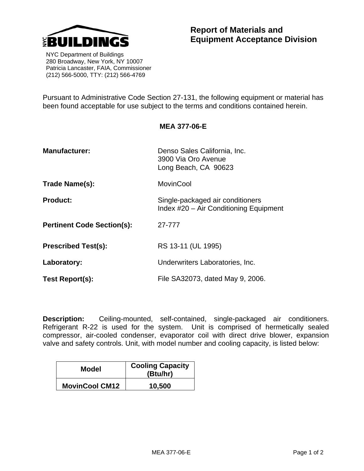

 NYC Department of Buildings 280 Broadway, New York, NY 10007 Patricia Lancaster, FAIA, Commissioner (212) 566-5000, TTY: (212) 566-4769

Pursuant to Administrative Code Section 27-131, the following equipment or material has been found acceptable for use subject to the terms and conditions contained herein.

**MEA 377-06-E** 

| <b>Manufacturer:</b>              | Denso Sales California, Inc.<br>3900 Via Oro Avenue<br>Long Beach, CA 90623 |
|-----------------------------------|-----------------------------------------------------------------------------|
| Trade Name(s):                    | <b>MovinCool</b>                                                            |
| <b>Product:</b>                   | Single-packaged air conditioners<br>Index #20 - Air Conditioning Equipment  |
| <b>Pertinent Code Section(s):</b> | 27-777                                                                      |
| <b>Prescribed Test(s):</b>        | RS 13-11 (UL 1995)                                                          |
| Laboratory:                       | Underwriters Laboratories, Inc.                                             |
| Test Report(s):                   | File SA32073, dated May 9, 2006.                                            |

**Description:** Ceiling-mounted, self-contained, single-packaged air conditioners. Refrigerant R-22 is used for the system. Unit is comprised of hermetically sealed compressor, air-cooled condenser, evaporator coil with direct drive blower, expansion valve and safety controls. Unit, with model number and cooling capacity, is listed below:

| Model                 | <b>Cooling Capacity</b><br>(Btu/hr) |
|-----------------------|-------------------------------------|
| <b>MovinCool CM12</b> | 10,500                              |